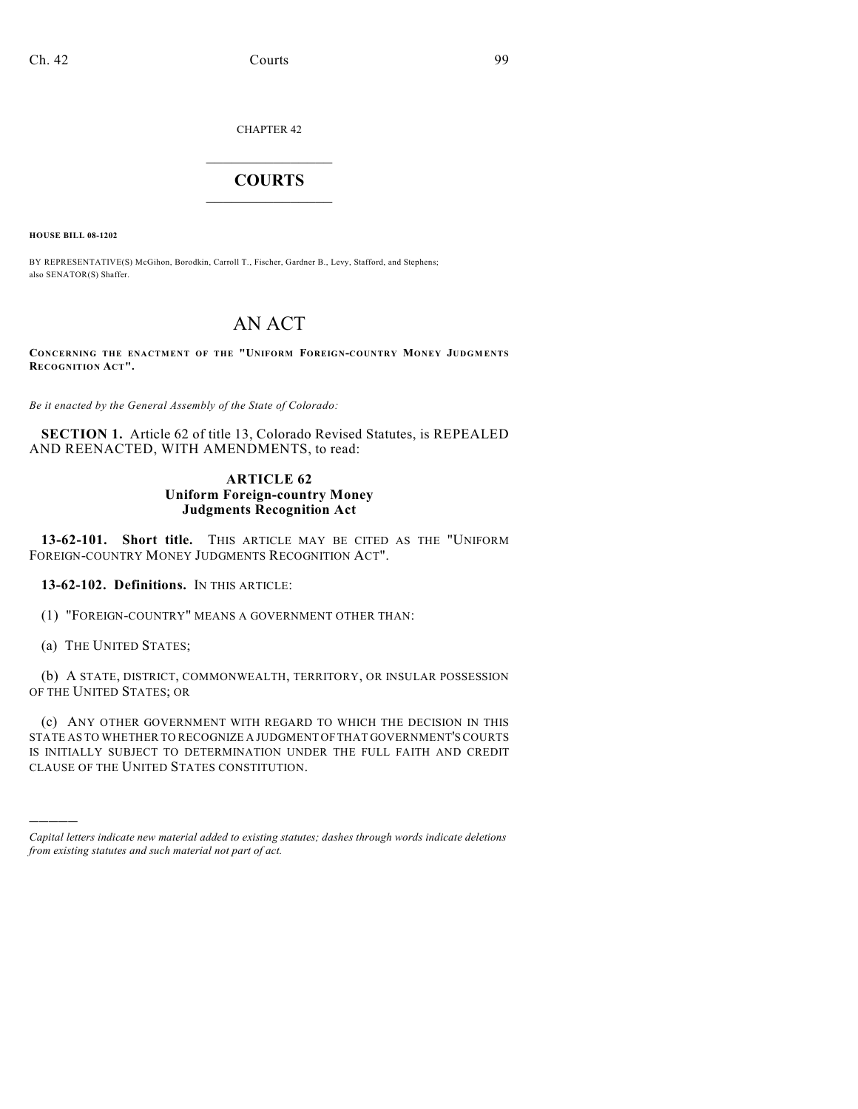CHAPTER 42

## $\overline{\phantom{a}}$  . The set of the set of the set of the set of the set of the set of the set of the set of the set of the set of the set of the set of the set of the set of the set of the set of the set of the set of the set o **COURTS**  $\_$

**HOUSE BILL 08-1202**

BY REPRESENTATIVE(S) McGihon, Borodkin, Carroll T., Fischer, Gardner B., Levy, Stafford, and Stephens; also SENATOR(S) Shaffer.

## AN ACT

**CONCERNING THE ENACTMENT OF THE "UNIFORM FOREIGN-COUNTRY MONEY JUDGM ENTS RECOGNITION ACT".**

*Be it enacted by the General Assembly of the State of Colorado:*

**SECTION 1.** Article 62 of title 13, Colorado Revised Statutes, is REPEALED AND REENACTED, WITH AMENDMENTS, to read:

## **ARTICLE 62 Uniform Foreign-country Money Judgments Recognition Act**

13-62-101. Short title. This ARTICLE MAY BE CITED AS THE "UNIFORM FOREIGN-COUNTRY MONEY JUDGMENTS RECOGNITION ACT".

**13-62-102. Definitions.** IN THIS ARTICLE:

(1) "FOREIGN-COUNTRY" MEANS A GOVERNMENT OTHER THAN:

(a) THE UNITED STATES;

)))))

(b) A STATE, DISTRICT, COMMONWEALTH, TERRITORY, OR INSULAR POSSESSION OF THE UNITED STATES; OR

(c) ANY OTHER GOVERNMENT WITH REGARD TO WHICH THE DECISION IN THIS STATE AS TO WHETHER TO RECOGNIZE A JUDGMENT OF THAT GOVERNMENT'S COURTS IS INITIALLY SUBJECT TO DETERMINATION UNDER THE FULL FAITH AND CREDIT CLAUSE OF THE UNITED STATES CONSTITUTION.

*Capital letters indicate new material added to existing statutes; dashes through words indicate deletions from existing statutes and such material not part of act.*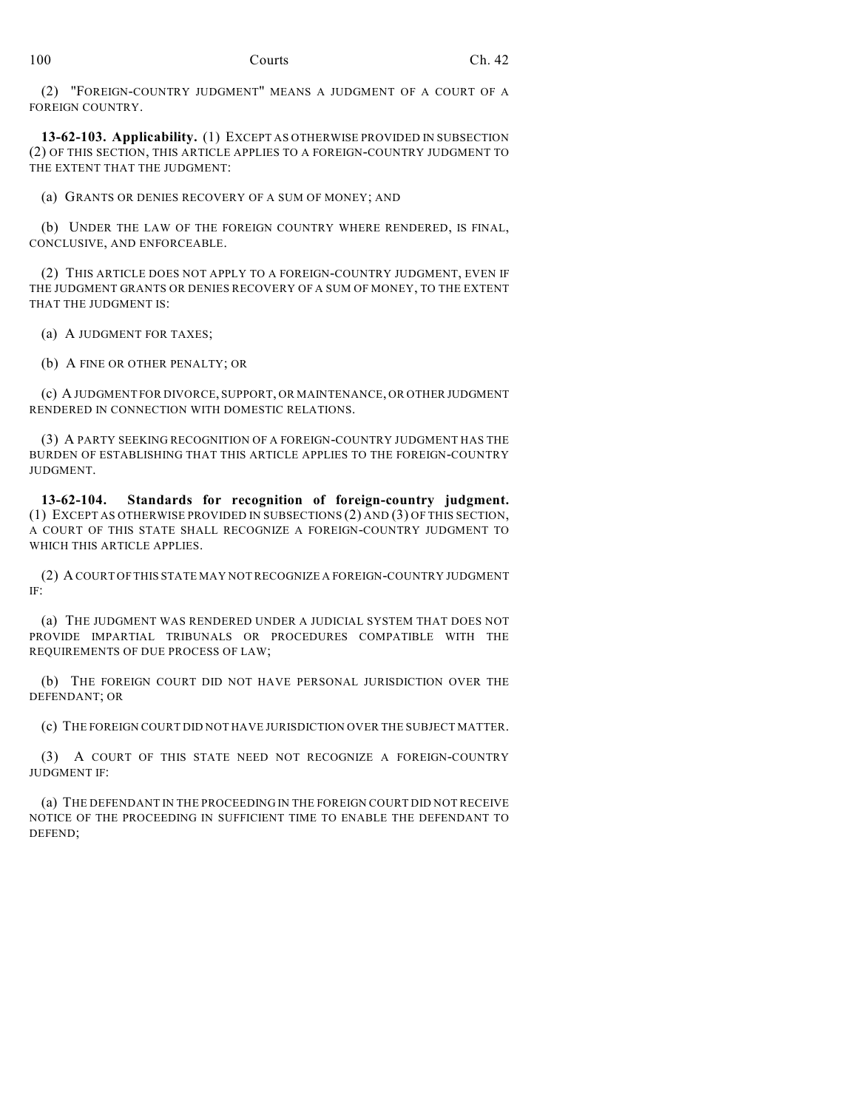(2) "FOREIGN-COUNTRY JUDGMENT" MEANS A JUDGMENT OF A COURT OF A FOREIGN COUNTRY.

**13-62-103. Applicability.** (1) EXCEPT AS OTHERWISE PROVIDED IN SUBSECTION (2) OF THIS SECTION, THIS ARTICLE APPLIES TO A FOREIGN-COUNTRY JUDGMENT TO THE EXTENT THAT THE JUDGMENT:

(a) GRANTS OR DENIES RECOVERY OF A SUM OF MONEY; AND

(b) UNDER THE LAW OF THE FOREIGN COUNTRY WHERE RENDERED, IS FINAL, CONCLUSIVE, AND ENFORCEABLE.

(2) THIS ARTICLE DOES NOT APPLY TO A FOREIGN-COUNTRY JUDGMENT, EVEN IF THE JUDGMENT GRANTS OR DENIES RECOVERY OF A SUM OF MONEY, TO THE EXTENT THAT THE JUDGMENT IS:

(a) A JUDGMENT FOR TAXES;

(b) A FINE OR OTHER PENALTY; OR

(c) A JUDGMENT FOR DIVORCE, SUPPORT, OR MAINTENANCE, OR OTHER JUDGMENT RENDERED IN CONNECTION WITH DOMESTIC RELATIONS.

(3) A PARTY SEEKING RECOGNITION OF A FOREIGN-COUNTRY JUDGMENT HAS THE BURDEN OF ESTABLISHING THAT THIS ARTICLE APPLIES TO THE FOREIGN-COUNTRY JUDGMENT.

**13-62-104. Standards for recognition of foreign-country judgment.** (1) EXCEPT AS OTHERWISE PROVIDED IN SUBSECTIONS (2) AND (3) OF THIS SECTION, A COURT OF THIS STATE SHALL RECOGNIZE A FOREIGN-COUNTRY JUDGMENT TO WHICH THIS ARTICLE APPLIES.

(2) A COURT OF THIS STATE MAY NOT RECOGNIZE A FOREIGN-COUNTRY JUDGMENT IF:

(a) THE JUDGMENT WAS RENDERED UNDER A JUDICIAL SYSTEM THAT DOES NOT PROVIDE IMPARTIAL TRIBUNALS OR PROCEDURES COMPATIBLE WITH THE REQUIREMENTS OF DUE PROCESS OF LAW;

(b) THE FOREIGN COURT DID NOT HAVE PERSONAL JURISDICTION OVER THE DEFENDANT; OR

(c) THE FOREIGN COURT DID NOT HAVE JURISDICTION OVER THE SUBJECT MATTER.

(3) A COURT OF THIS STATE NEED NOT RECOGNIZE A FOREIGN-COUNTRY JUDGMENT IF:

(a) THE DEFENDANT IN THE PROCEEDING IN THE FOREIGN COURT DID NOT RECEIVE NOTICE OF THE PROCEEDING IN SUFFICIENT TIME TO ENABLE THE DEFENDANT TO DEFEND;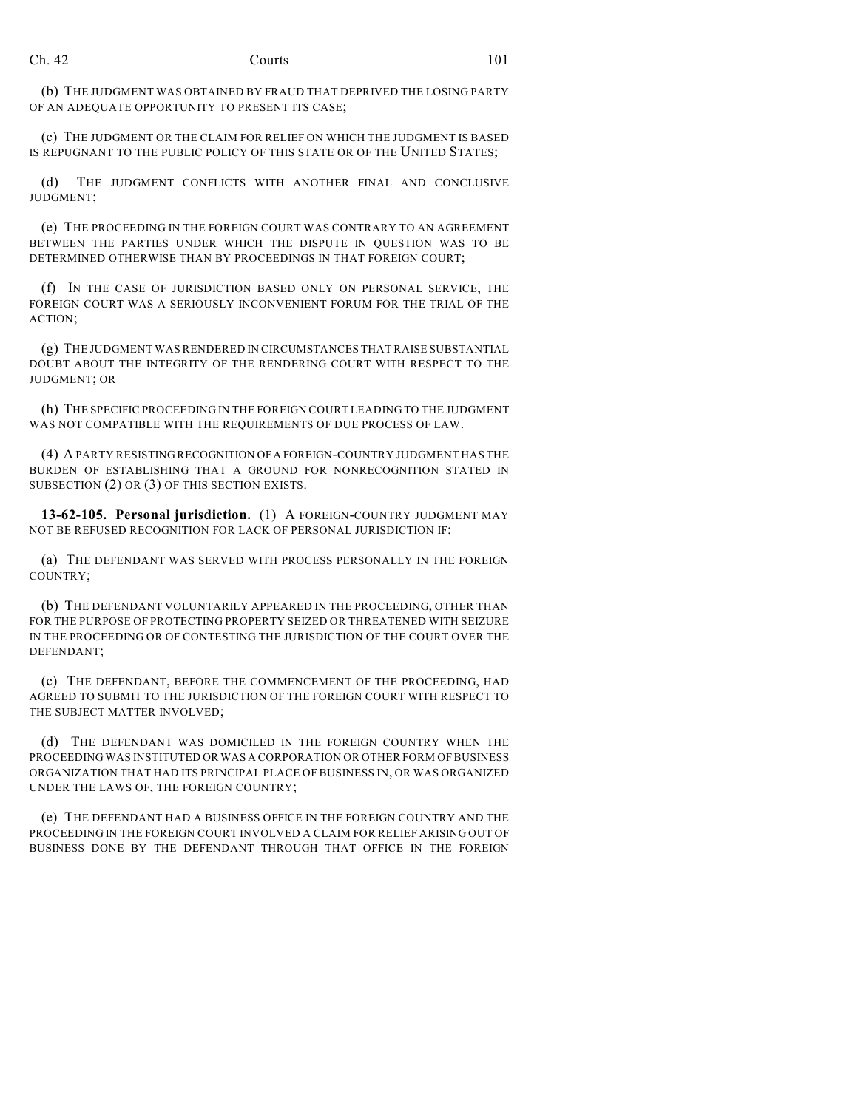(b) THE JUDGMENT WAS OBTAINED BY FRAUD THAT DEPRIVED THE LOSING PARTY OF AN ADEQUATE OPPORTUNITY TO PRESENT ITS CASE;

(c) THE JUDGMENT OR THE CLAIM FOR RELIEF ON WHICH THE JUDGMENT IS BASED IS REPUGNANT TO THE PUBLIC POLICY OF THIS STATE OR OF THE UNITED STATES;

(d) THE JUDGMENT CONFLICTS WITH ANOTHER FINAL AND CONCLUSIVE JUDGMENT;

(e) THE PROCEEDING IN THE FOREIGN COURT WAS CONTRARY TO AN AGREEMENT BETWEEN THE PARTIES UNDER WHICH THE DISPUTE IN QUESTION WAS TO BE DETERMINED OTHERWISE THAN BY PROCEEDINGS IN THAT FOREIGN COURT;

(f) IN THE CASE OF JURISDICTION BASED ONLY ON PERSONAL SERVICE, THE FOREIGN COURT WAS A SERIOUSLY INCONVENIENT FORUM FOR THE TRIAL OF THE ACTION;

(g) THE JUDGMENT WAS RENDERED IN CIRCUMSTANCES THAT RAISE SUBSTANTIAL DOUBT ABOUT THE INTEGRITY OF THE RENDERING COURT WITH RESPECT TO THE JUDGMENT; OR

(h) THE SPECIFIC PROCEEDING IN THE FOREIGN COURT LEADING TO THE JUDGMENT WAS NOT COMPATIBLE WITH THE REQUIREMENTS OF DUE PROCESS OF LAW.

(4) A PARTY RESISTING RECOGNITION OF A FOREIGN-COUNTRY JUDGMENT HAS THE BURDEN OF ESTABLISHING THAT A GROUND FOR NONRECOGNITION STATED IN SUBSECTION (2) OR (3) OF THIS SECTION EXISTS.

**13-62-105. Personal jurisdiction.** (1) A FOREIGN-COUNTRY JUDGMENT MAY NOT BE REFUSED RECOGNITION FOR LACK OF PERSONAL JURISDICTION IF:

(a) THE DEFENDANT WAS SERVED WITH PROCESS PERSONALLY IN THE FOREIGN COUNTRY;

(b) THE DEFENDANT VOLUNTARILY APPEARED IN THE PROCEEDING, OTHER THAN FOR THE PURPOSE OF PROTECTING PROPERTY SEIZED OR THREATENED WITH SEIZURE IN THE PROCEEDING OR OF CONTESTING THE JURISDICTION OF THE COURT OVER THE DEFENDANT;

(c) THE DEFENDANT, BEFORE THE COMMENCEMENT OF THE PROCEEDING, HAD AGREED TO SUBMIT TO THE JURISDICTION OF THE FOREIGN COURT WITH RESPECT TO THE SUBJECT MATTER INVOLVED;

(d) THE DEFENDANT WAS DOMICILED IN THE FOREIGN COUNTRY WHEN THE PROCEEDING WAS INSTITUTED OR WAS A CORPORATION OR OTHER FORM OF BUSINESS ORGANIZATION THAT HAD ITS PRINCIPAL PLACE OF BUSINESS IN, OR WAS ORGANIZED UNDER THE LAWS OF, THE FOREIGN COUNTRY;

(e) THE DEFENDANT HAD A BUSINESS OFFICE IN THE FOREIGN COUNTRY AND THE PROCEEDING IN THE FOREIGN COURT INVOLVED A CLAIM FOR RELIEF ARISING OUT OF BUSINESS DONE BY THE DEFENDANT THROUGH THAT OFFICE IN THE FOREIGN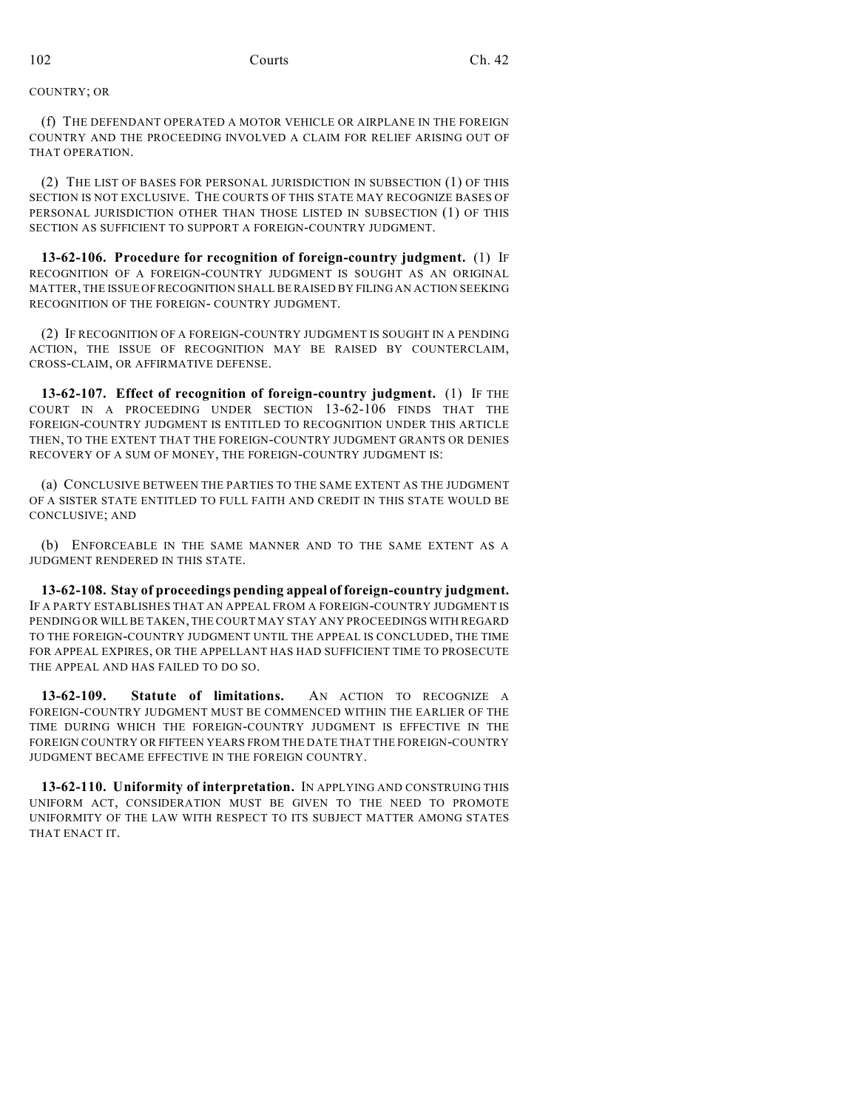COUNTRY; OR

(f) THE DEFENDANT OPERATED A MOTOR VEHICLE OR AIRPLANE IN THE FOREIGN COUNTRY AND THE PROCEEDING INVOLVED A CLAIM FOR RELIEF ARISING OUT OF THAT OPERATION.

(2) THE LIST OF BASES FOR PERSONAL JURISDICTION IN SUBSECTION (1) OF THIS SECTION IS NOT EXCLUSIVE. THE COURTS OF THIS STATE MAY RECOGNIZE BASES OF PERSONAL JURISDICTION OTHER THAN THOSE LISTED IN SUBSECTION (1) OF THIS SECTION AS SUFFICIENT TO SUPPORT A FOREIGN-COUNTRY JUDGMENT.

**13-62-106. Procedure for recognition of foreign-country judgment.** (1) IF RECOGNITION OF A FOREIGN-COUNTRY JUDGMENT IS SOUGHT AS AN ORIGINAL MATTER, THE ISSUE OF RECOGNITION SHALL BE RAISED BY FILING AN ACTION SEEKING RECOGNITION OF THE FOREIGN- COUNTRY JUDGMENT.

(2) IF RECOGNITION OF A FOREIGN-COUNTRY JUDGMENT IS SOUGHT IN A PENDING ACTION, THE ISSUE OF RECOGNITION MAY BE RAISED BY COUNTERCLAIM, CROSS-CLAIM, OR AFFIRMATIVE DEFENSE.

**13-62-107. Effect of recognition of foreign-country judgment.** (1) IF THE COURT IN A PROCEEDING UNDER SECTION 13-62-106 FINDS THAT THE FOREIGN-COUNTRY JUDGMENT IS ENTITLED TO RECOGNITION UNDER THIS ARTICLE THEN, TO THE EXTENT THAT THE FOREIGN-COUNTRY JUDGMENT GRANTS OR DENIES RECOVERY OF A SUM OF MONEY, THE FOREIGN-COUNTRY JUDGMENT IS:

(a) CONCLUSIVE BETWEEN THE PARTIES TO THE SAME EXTENT AS THE JUDGMENT OF A SISTER STATE ENTITLED TO FULL FAITH AND CREDIT IN THIS STATE WOULD BE CONCLUSIVE; AND

(b) ENFORCEABLE IN THE SAME MANNER AND TO THE SAME EXTENT AS A JUDGMENT RENDERED IN THIS STATE.

**13-62-108. Stay of proceedings pending appeal of foreign-country judgment.** IF A PARTY ESTABLISHES THAT AN APPEAL FROM A FOREIGN-COUNTRY JUDGMENT IS PENDING OR WILL BE TAKEN, THE COURT MAY STAY ANY PROCEEDINGS WITH REGARD TO THE FOREIGN-COUNTRY JUDGMENT UNTIL THE APPEAL IS CONCLUDED, THE TIME FOR APPEAL EXPIRES, OR THE APPELLANT HAS HAD SUFFICIENT TIME TO PROSECUTE THE APPEAL AND HAS FAILED TO DO SO.

**13-62-109. Statute of limitations.** AN ACTION TO RECOGNIZE A FOREIGN-COUNTRY JUDGMENT MUST BE COMMENCED WITHIN THE EARLIER OF THE TIME DURING WHICH THE FOREIGN-COUNTRY JUDGMENT IS EFFECTIVE IN THE FOREIGN COUNTRY OR FIFTEEN YEARS FROM THE DATE THAT THE FOREIGN-COUNTRY JUDGMENT BECAME EFFECTIVE IN THE FOREIGN COUNTRY.

**13-62-110. Uniformity of interpretation.** IN APPLYING AND CONSTRUING THIS UNIFORM ACT, CONSIDERATION MUST BE GIVEN TO THE NEED TO PROMOTE UNIFORMITY OF THE LAW WITH RESPECT TO ITS SUBJECT MATTER AMONG STATES THAT ENACT IT.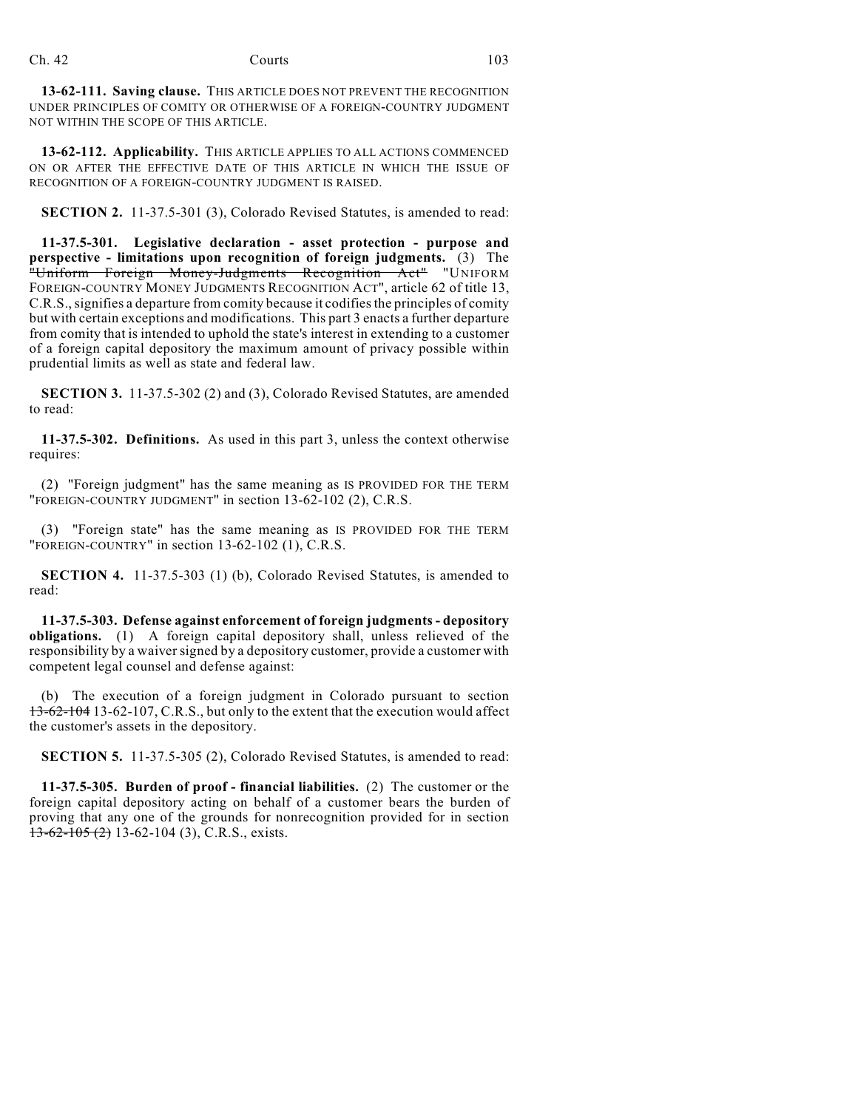**13-62-111. Saving clause.** THIS ARTICLE DOES NOT PREVENT THE RECOGNITION UNDER PRINCIPLES OF COMITY OR OTHERWISE OF A FOREIGN-COUNTRY JUDGMENT NOT WITHIN THE SCOPE OF THIS ARTICLE.

**13-62-112. Applicability.** THIS ARTICLE APPLIES TO ALL ACTIONS COMMENCED ON OR AFTER THE EFFECTIVE DATE OF THIS ARTICLE IN WHICH THE ISSUE OF RECOGNITION OF A FOREIGN-COUNTRY JUDGMENT IS RAISED.

**SECTION 2.** 11-37.5-301 (3), Colorado Revised Statutes, is amended to read:

**11-37.5-301. Legislative declaration - asset protection - purpose and perspective - limitations upon recognition of foreign judgments.** (3) The "Uniform Foreign Money-Judgments Recognition Act" "UNIFORM FOREIGN-COUNTRY MONEY JUDGMENTS RECOGNITION ACT", article 62 of title 13, C.R.S., signifies a departure from comity because it codifies the principles of comity but with certain exceptions and modifications. This part 3 enacts a further departure from comity that is intended to uphold the state's interest in extending to a customer of a foreign capital depository the maximum amount of privacy possible within prudential limits as well as state and federal law.

**SECTION 3.** 11-37.5-302 (2) and (3), Colorado Revised Statutes, are amended to read:

**11-37.5-302. Definitions.** As used in this part 3, unless the context otherwise requires:

(2) "Foreign judgment" has the same meaning as IS PROVIDED FOR THE TERM "FOREIGN-COUNTRY JUDGMENT" in section 13-62-102 (2), C.R.S.

(3) "Foreign state" has the same meaning as IS PROVIDED FOR THE TERM "FOREIGN-COUNTRY" in section 13-62-102 (1), C.R.S.

**SECTION 4.** 11-37.5-303 (1) (b), Colorado Revised Statutes, is amended to read:

**11-37.5-303. Defense against enforcement of foreign judgments - depository obligations.** (1) A foreign capital depository shall, unless relieved of the responsibility by a waiver signed by a depository customer, provide a customer with competent legal counsel and defense against:

(b) The execution of a foreign judgment in Colorado pursuant to section 13-62-104 13-62-107, C.R.S., but only to the extent that the execution would affect the customer's assets in the depository.

**SECTION 5.** 11-37.5-305 (2), Colorado Revised Statutes, is amended to read:

**11-37.5-305. Burden of proof - financial liabilities.** (2) The customer or the foreign capital depository acting on behalf of a customer bears the burden of proving that any one of the grounds for nonrecognition provided for in section  $13-62-105$  (2) 13-62-104 (3), C.R.S., exists.